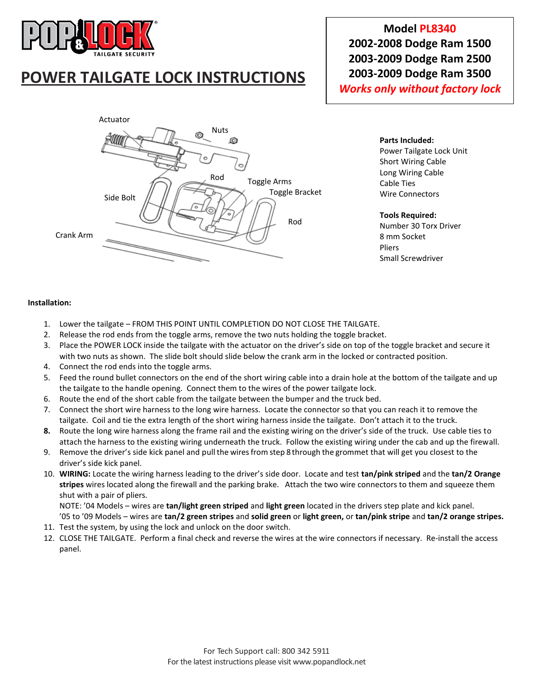

# **POWER TAILGATE LOCK INSTRUCTIONS**

**Model PL8340 2002-2008 Dodge Ram 1500 2003-2009 Dodge Ram 2500 2003-2009 Dodge Ram 3500** *Works only without factory lock*



**Parts Included:** Power Tailgate Lock Unit Short Wiring Cable Long Wiring Cable Cable Ties

#### **Tools Required:**

Wire Connectors

Number 30 Torx Driver 8 mm Socket Pliers Small Screwdriver

#### **Installation:**

- 1. Lower the tailgate FROM THIS POINT UNTIL COMPLETION DO NOT CLOSE THE TAILGATE.
- 2. Release the rod ends from the toggle arms, remove the two nuts holding the toggle bracket.
- 3. Place the POWER LOCK inside the tailgate with the actuator on the driver's side on top of the toggle bracket and secure it with two nuts as shown. The slide bolt should slide below the crank arm in the locked or contracted position.
- 4. Connect the rod ends into the toggle arms.
- 5. Feed the round bullet connectors on the end of the short wiring cable into a drain hole at the bottom of the tailgate and up the tailgate to the handle opening. Connect them to the wires of the power tailgate lock.
- 6. Route the end of the short cable from the tailgate between the bumper and the truck bed.
- 7. Connect the short wire harness to the long wire harness. Locate the connector so that you can reach it to remove the tailgate. Coil and tie the extra length of the short wiring harness inside the tailgate. Don't attach it to the truck.
- **8.** Route the long wire harness along the frame rail and the existing wiring on the driver's side of the truck. Use cable ties to attach the harness to the existing wiring underneath the truck. Follow the existing wiring under the cab and up the firewall.
- 9. Remove the driver's side kick panel and pull the wires from step 8 through the grommet that will get you closest to the driver's side kick panel.
- 10. **WIRING:** Locate the wiring harness leading to the driver's side door. Locate and test **tan/pink striped** and the **tan/2 Orange stripes** wires located along the firewall and the parking brake. Attach the two wire connectors to them and squeeze them shut with a pair of pliers.

NOTE: '04 Models – wires are **tan/light green striped** and **light green** located in the drivers step plate and kick panel. '05 to '09 Models – wires are **tan/2 green stripes** and **solid green** or **light green,** or **tan/pink stripe** and **tan/2 orange stripes.**

- 11. Test the system, by using the lock and unlock on the door switch.
- 12. CLOSE THE TAILGATE. Perform a final check and reverse the wires at the wire connectors if necessary. Re-install the access panel.